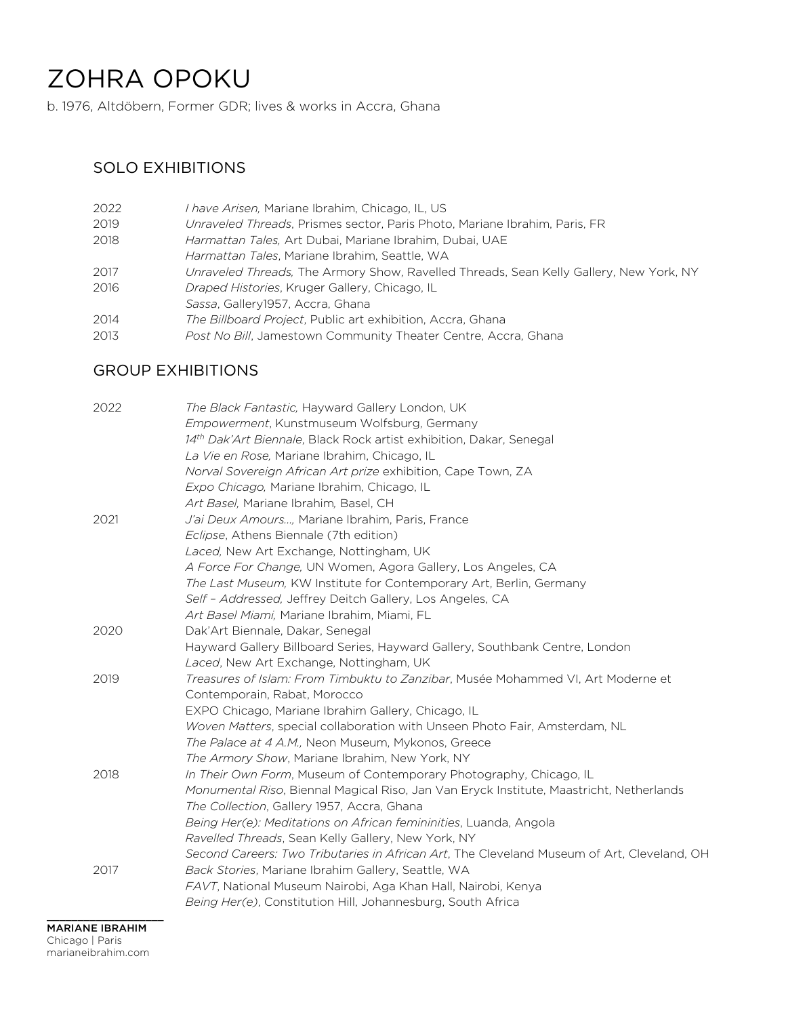# ZOHRA OPOKU

b. 1976, Altdöbern, Former GDR; lives & works in Accra, Ghana

#### SOLO EXHIBITIONS

| 2022 | <i>I have Arisen</i> , Mariane Ibrahim, Chicago, IL, US                                |
|------|----------------------------------------------------------------------------------------|
| 2019 | Unraveled Threads, Prismes sector, Paris Photo, Mariane Ibrahim, Paris, FR             |
| 2018 | Harmattan Tales, Art Dubai, Mariane Ibrahim, Dubai, UAE                                |
|      | Harmattan Tales, Mariane Ibrahim, Seattle, WA                                          |
| 2017 | Unraveled Threads, The Armory Show, Ravelled Threads, Sean Kelly Gallery, New York, NY |
| 2016 | Draped Histories, Kruger Gallery, Chicago, IL                                          |
|      | Sassa, Gallery 1957, Accra, Ghana                                                      |
| 2014 | The Billboard Project, Public art exhibition, Accra, Ghana                             |
| 2013 | Post No Bill, Jamestown Community Theater Centre, Accra, Ghana                         |
|      |                                                                                        |

## GROUP EXHIBITIONS

| 2022 | The Black Fantastic, Hayward Gallery London, UK                                            |
|------|--------------------------------------------------------------------------------------------|
|      | Empowerment, Kunstmuseum Wolfsburg, Germany                                                |
|      | 14th Dak'Art Biennale, Black Rock artist exhibition, Dakar, Senegal                        |
|      | La Vie en Rose, Mariane Ibrahim, Chicago, IL                                               |
|      | Norval Sovereign African Art prize exhibition, Cape Town, ZA                               |
|      | Expo Chicago, Mariane Ibrahim, Chicago, IL                                                 |
|      | Art Basel, Mariane Ibrahim, Basel, CH                                                      |
| 2021 | J'ai Deux Amours, Mariane Ibrahim, Paris, France                                           |
|      | Eclipse, Athens Biennale (7th edition)                                                     |
|      | Laced, New Art Exchange, Nottingham, UK                                                    |
|      | A Force For Change, UN Women, Agora Gallery, Los Angeles, CA                               |
|      | The Last Museum, KW Institute for Contemporary Art, Berlin, Germany                        |
|      | Self - Addressed, Jeffrey Deitch Gallery, Los Angeles, CA                                  |
|      | Art Basel Miami, Mariane Ibrahim, Miami, FL                                                |
| 2020 | Dak'Art Biennale, Dakar, Senegal                                                           |
|      | Hayward Gallery Billboard Series, Hayward Gallery, Southbank Centre, London                |
|      | Laced, New Art Exchange, Nottingham, UK                                                    |
| 2019 | Treasures of Islam: From Timbuktu to Zanzibar, Musée Mohammed VI, Art Moderne et           |
|      | Contemporain, Rabat, Morocco                                                               |
|      | EXPO Chicago, Mariane Ibrahim Gallery, Chicago, IL                                         |
|      | Woven Matters, special collaboration with Unseen Photo Fair, Amsterdam, NL                 |
|      | The Palace at 4 A.M., Neon Museum, Mykonos, Greece                                         |
|      | The Armory Show, Mariane Ibrahim, New York, NY                                             |
| 2018 | In Their Own Form, Museum of Contemporary Photography, Chicago, IL                         |
|      | Monumental Riso, Biennal Magical Riso, Jan Van Eryck Institute, Maastricht, Netherlands    |
|      | The Collection, Gallery 1957, Accra, Ghana                                                 |
|      | Being Her(e): Meditations on African femininities, Luanda, Angola                          |
|      | Ravelled Threads, Sean Kelly Gallery, New York, NY                                         |
|      | Second Careers: Two Tributaries in African Art, The Cleveland Museum of Art, Cleveland, OH |
| 2017 | Back Stories, Mariane Ibrahim Gallery, Seattle, WA                                         |
|      | FAVT, National Museum Nairobi, Aga Khan Hall, Nairobi, Kenya                               |
|      | Being Her(e), Constitution Hill, Johannesburg, South Africa                                |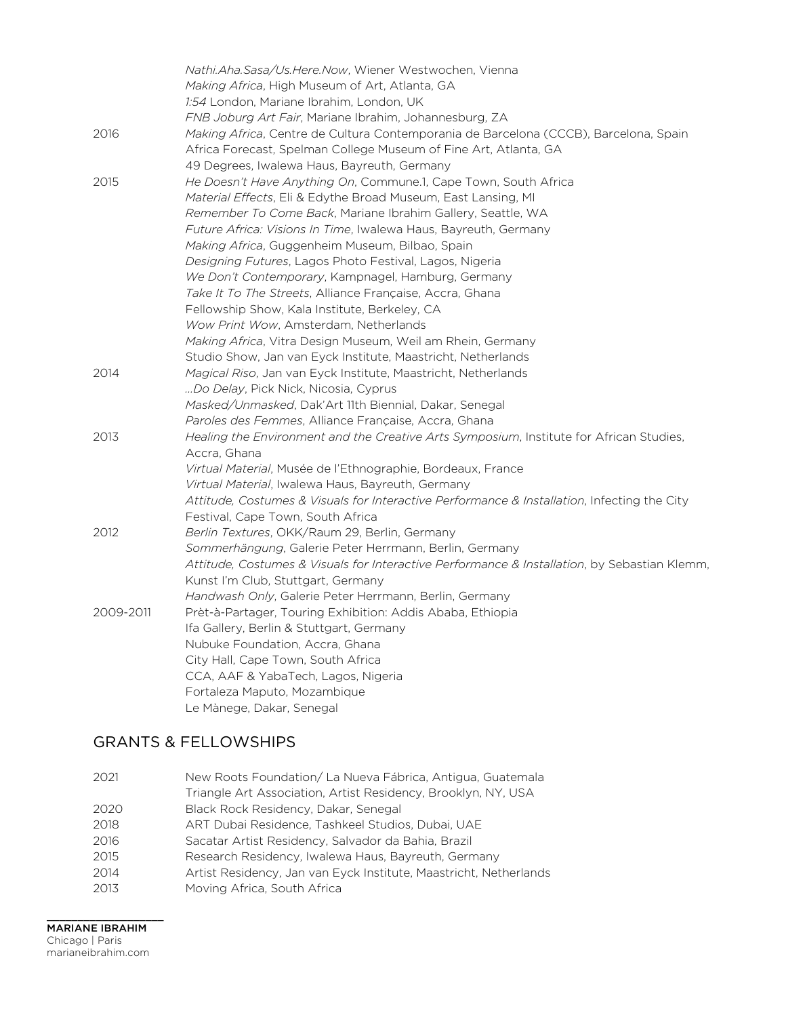|           | Nathi.Aha.Sasa/Us.Here.Now, Wiener Westwochen, Vienna                                                   |
|-----------|---------------------------------------------------------------------------------------------------------|
|           | <i>Making Africa</i> , High Museum of Art, Atlanta, GA                                                  |
|           | 1:54 London, Mariane Ibrahim, London, UK                                                                |
|           | FNB Joburg Art Fair, Mariane Ibrahim, Johannesburg, ZA                                                  |
| 2016      | Making Africa, Centre de Cultura Contemporania de Barcelona (CCCB), Barcelona, Spain                    |
|           | Africa Forecast, Spelman College Museum of Fine Art, Atlanta, GA                                        |
|           | 49 Degrees, Iwalewa Haus, Bayreuth, Germany                                                             |
| 2015      | He Doesn't Have Anything On, Commune.1, Cape Town, South Africa                                         |
|           | Material Effects, Eli & Edythe Broad Museum, East Lansing, MI                                           |
|           | Remember To Come Back, Mariane Ibrahim Gallery, Seattle, WA                                             |
|           | Future Africa: Visions In Time, Iwalewa Haus, Bayreuth, Germany                                         |
|           | Making Africa, Guggenheim Museum, Bilbao, Spain                                                         |
|           | Designing Futures, Lagos Photo Festival, Lagos, Nigeria                                                 |
|           | We Don't Contemporary, Kampnagel, Hamburg, Germany                                                      |
|           | <i>Take It To The Streets, Alliance Française, Accra, Ghana</i>                                         |
|           | Fellowship Show, Kala Institute, Berkeley, CA                                                           |
|           | Wow Print Wow, Amsterdam, Netherlands                                                                   |
|           | <i>Making Africa</i> , Vitra Design Museum, Weil am Rhein, Germany                                      |
|           | Studio Show, Jan van Eyck Institute, Maastricht, Netherlands                                            |
| 2014      | <i>Magical Riso</i> , Jan van Eyck Institute, Maastricht, Netherlands                                   |
|           | Do Delay, Pick Nick, Nicosia, Cyprus                                                                    |
|           | Masked/Unmasked, Dak'Art 11th Biennial, Dakar, Senegal                                                  |
|           | Paroles des Femmes, Alliance Française, Accra, Ghana                                                    |
| 2013      | Healing the Environment and the Creative Arts Symposium, Institute for African Studies,<br>Accra, Ghana |
|           | Virtual Material, Musée de l'Ethnographie, Bordeaux, France                                             |
|           | Virtual Material, Iwalewa Haus, Bayreuth, Germany                                                       |
|           | Attitude, Costumes & Visuals for Interactive Performance & Installation, Infecting the City             |
|           | Festival, Cape Town, South Africa                                                                       |
| 2012      | Berlin Textures, OKK/Raum 29, Berlin, Germany                                                           |
|           | Sommerhängung, Galerie Peter Herrmann, Berlin, Germany                                                  |
|           | Attitude, Costumes & Visuals for Interactive Performance & Installation, by Sebastian Klemm,            |
|           | Kunst I'm Club, Stuttgart, Germany                                                                      |
|           | Handwash Only, Galerie Peter Herrmann, Berlin, Germany                                                  |
| 2009-2011 | Prèt-à-Partager, Touring Exhibition: Addis Ababa, Ethiopia                                              |
|           | Ifa Gallery, Berlin & Stuttgart, Germany                                                                |
|           | Nubuke Foundation, Accra, Ghana                                                                         |
|           | City Hall, Cape Town, South Africa                                                                      |
|           | CCA, AAF & YabaTech, Lagos, Nigeria                                                                     |
|           | Fortaleza Maputo, Mozambique                                                                            |
|           | Le Mànege, Dakar, Senegal                                                                               |

## GRANTS & FELLOWSHIPS

| New Roots Foundation/La Nueva Fábrica, Antigua, Guatemala         |
|-------------------------------------------------------------------|
| Triangle Art Association, Artist Residency, Brooklyn, NY, USA     |
| Black Rock Residency, Dakar, Senegal                              |
| ART Dubai Residence, Tashkeel Studios, Dubai, UAE                 |
| Sacatar Artist Residency, Salvador da Bahia, Brazil               |
| Research Residency, Iwalewa Haus, Bayreuth, Germany               |
| Artist Residency, Jan van Eyck Institute, Maastricht, Netherlands |
| Moving Africa, South Africa                                       |
|                                                                   |

 $\_$